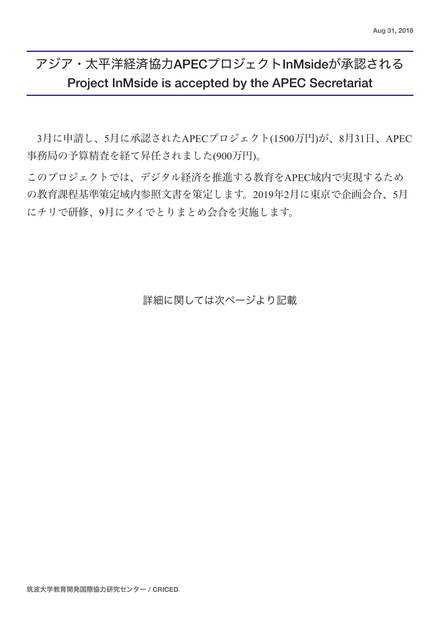# アジア・太平洋経済協力APECプロジェクトInMsideが承認される Project InMside is accepted by the APEC Secretariat

3月に申請し、5月に承認されたAPECプロジェクト(1500万円)が、8月31日、APEC 事務局の予算精査を経て昇任されました(900万円)。

このプロジェクトでは、デジタル経済を推進する教育をAPEC域内で実現するため の教育課程基準策定域内参照文書を策定します。2019年2月に東京で企画会合、5月 にチリで研修、9月にタイでとりまとめ会合を実施します。

詳細に関しては次ページより記載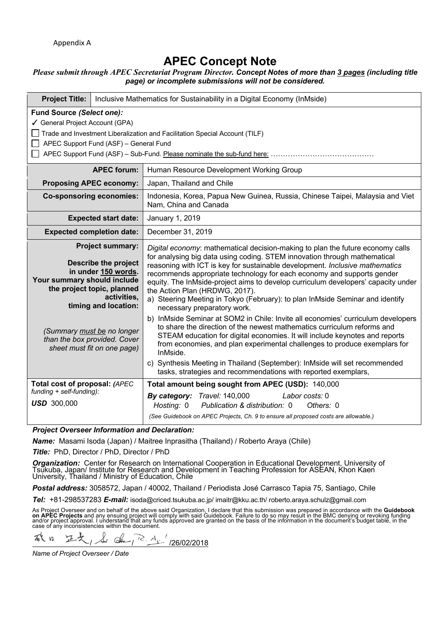# **APEC Concept Note**

# *Please submit through APEC Secretariat Program Director. Concept Notes of more than 3 pages (including title page) or incomplete submissions will not be considered.*

| <b>Project Title:</b>                                                                                                                                                                 | Inclusive Mathematics for Sustainability in a Digital Economy (InMside)                                              |                                                                                                                                                                                                                                                                                                                                                                                                                                                                                                                                                                                                                                                  |
|---------------------------------------------------------------------------------------------------------------------------------------------------------------------------------------|----------------------------------------------------------------------------------------------------------------------|--------------------------------------------------------------------------------------------------------------------------------------------------------------------------------------------------------------------------------------------------------------------------------------------------------------------------------------------------------------------------------------------------------------------------------------------------------------------------------------------------------------------------------------------------------------------------------------------------------------------------------------------------|
| Fund Source (Select one):<br>✔ General Project Account (GPA)<br>Trade and Investment Liberalization and Facilitation Special Account (TILF)<br>APEC Support Fund (ASF) - General Fund |                                                                                                                      |                                                                                                                                                                                                                                                                                                                                                                                                                                                                                                                                                                                                                                                  |
|                                                                                                                                                                                       | <b>APEC forum:</b>                                                                                                   | Human Resource Development Working Group                                                                                                                                                                                                                                                                                                                                                                                                                                                                                                                                                                                                         |
| <b>Proposing APEC economy:</b>                                                                                                                                                        |                                                                                                                      | Japan, Thailand and Chile                                                                                                                                                                                                                                                                                                                                                                                                                                                                                                                                                                                                                        |
| <b>Co-sponsoring economies:</b>                                                                                                                                                       |                                                                                                                      | Indonesia, Korea, Papua New Guinea, Russia, Chinese Taipei, Malaysia and Viet<br>Nam, China and Canada                                                                                                                                                                                                                                                                                                                                                                                                                                                                                                                                           |
| <b>Expected start date:</b>                                                                                                                                                           |                                                                                                                      | January 1, 2019                                                                                                                                                                                                                                                                                                                                                                                                                                                                                                                                                                                                                                  |
| <b>Expected completion date:</b>                                                                                                                                                      |                                                                                                                      | December 31, 2019                                                                                                                                                                                                                                                                                                                                                                                                                                                                                                                                                                                                                                |
| Your summary should include<br>the project topic, planned                                                                                                                             | <b>Project summary:</b><br><b>Describe the project</b><br>in under 150 words.<br>activities,<br>timing and location: | Digital economy: mathematical decision-making to plan the future economy calls<br>for analysing big data using coding. STEM innovation through mathematical<br>reasoning with ICT is key for sustainable development. Inclusive mathematics<br>recommends appropriate technology for each economy and supports gender<br>equity. The InMside-project aims to develop curriculum developers' capacity under<br>the Action Plan (HRDWG, 2017).<br>a) Steering Meeting in Tokyo (February): to plan InMside Seminar and identify<br>necessary preparatory work.<br>b) InMside Seminar at SOM2 in Chile: Invite all economies' curriculum developers |
| (Summary must be no longer<br>than the box provided. Cover<br>sheet must fit on one page)                                                                                             |                                                                                                                      | to share the direction of the newest mathematics curriculum reforms and<br>STEAM education for digital economies. It will include keynotes and reports<br>from economies, and plan experimental challenges to produce exemplars for<br>InMside.<br>c) Synthesis Meeting in Thailand (September): InMside will set recommended                                                                                                                                                                                                                                                                                                                    |
|                                                                                                                                                                                       | tasks, strategies and recommendations with reported exemplars,                                                       |                                                                                                                                                                                                                                                                                                                                                                                                                                                                                                                                                                                                                                                  |
| Total cost of proposal: (APEC<br>funding + self-funding):<br><b>USD</b> 300,000                                                                                                       |                                                                                                                      | Total amount being sought from APEC (USD): 140,000<br>By category: Travel: 140,000<br>Labor costs: 0<br>Publication & distribution: 0<br>Hosting: 0<br>Others: 0<br>(See Guidebook on APEC Projects, Ch. 9 to ensure all proposed costs are allowable.)                                                                                                                                                                                                                                                                                                                                                                                          |

*Project Overseer Information and Declaration:*

*Name:* Masami Isoda (Japan) / Maitree Inprasitha (Thailand) / Roberto Araya (Chile)

*Title:* PhD, Director / PhD, Director / PhD

Organization: Center for Research on International Cooperation in Educational Development, University of Tsukuba, Japan/ Institute for Research and Development in Teaching Profession for ASEAN, Khon Kaen<br>University, Thaila

*Postal address:* 3058572, Japan / 40002, Thailand / Periodista José Carrasco Tapia 75, Santiago, Chile

*Tel:* +81-298537283 *E-mail:* isoda@criced.tsukuba.ac.jp/ imaitr@kku.ac.th/ roberto.araya.schulz@gmail.com

As Project Overseer and on behalf of the above said Organization, I declare that this submission was prepared in accordance with the **Guidebook**<br>**on APEC Projects** and any ensuing project will comply with said Guidebook. F

不久 12  $\frac{d}{dx}$  de  $\frac{12}{x^2}$  /26/02/2018 汪文

*Name of Project Overseer / Date*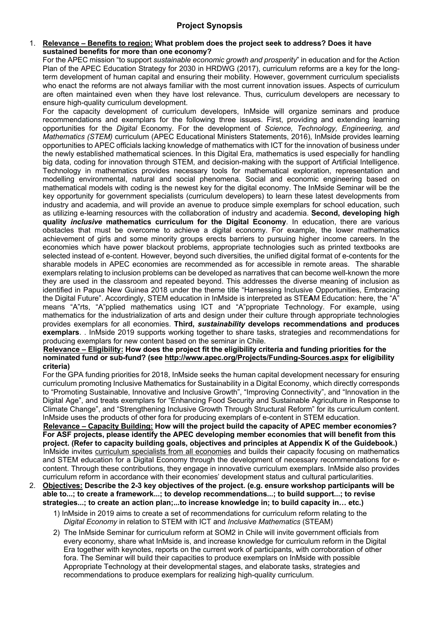#### 1. **Relevance – Benefits to region: What problem does the project seek to address? Does it have sustained benefits for more than one economy?**

For the APEC mission "to support *sustainable economic growth and prosperity*" in education and for the Action Plan of the APEC Education Strategy for 2030 in HRDWG (2017), curriculum reforms are a key for the longterm development of human capital and ensuring their mobility. However, government curriculum specialists who enact the reforms are not always familiar with the most current innovation issues. Aspects of curriculum are often maintained even when they have lost relevance. Thus, curriculum developers are necessary to ensure high-quality curriculum development.

For the capacity development of curriculum developers, InMside will organize seminars and produce recommendations and exemplars for the following three issues. First, providing and extending learning opportunities for the *Digital* Economy. For the development of *Science, Technology, Engineering, and Mathematics (STEM)* curriculum (APEC Educational Ministers Statements, 2016), InMside provides learning opportunities to APEC officials lacking knowledge of mathematics with ICT for the innovation of business under the newly established mathematical sciences. In this Digital Era, mathematics is used especially for handling big data, coding for innovation through STEM, and decision-making with the support of Artificial Intelligence. Technology in mathematics provides necessary tools for mathematical exploration, representation and modelling environmental, natural and social phenomena. Social and economic engineering based on mathematical models with coding is the newest key for the digital economy. The InMside Seminar will be the key opportunity for government specialists (curriculum developers) to learn these latest developments from industry and academia, and will provide an avenue to produce simple exemplars for school education, such as utilizing e-learning resources with the collaboration of industry and academia. **Second, developing high quality** *inclusive* **mathematics curriculum for the Digital Economy**. In education, there are various obstacles that must be overcome to achieve a digital economy. For example, the lower mathematics achievement of girls and some minority groups erects barriers to pursuing higher income careers. In the economies which have power blackout problems, appropriate technologies such as printed textbooks are selected instead of e-content. However, beyond such diversities, the unified digital format of e-contents for the sharable models in APEC economies are recommended as for accessible in remote areas. The sharable exemplars relating to inclusion problems can be developed as narratives that can become well-known the more they are used in the classroom and repeated beyond. This addresses the diverse meaning of inclusion as identified in Papua New Guinea 2018 under the theme title "Harnessing Inclusive Opportunities, Embracing the Digital Future". Accordingly, STEM education in InMside is interpreted as STE**A**M Education: here, the "A" means "A"rts, "A"pplied mathematics using ICT and "A"ppropriate Technology. For example, using mathematics for the industrialization of arts and design under their culture through appropriate technologies provides exemplars for all economies. **Third,** *sustainability* **develops recommendations and produces exemplars**. . InMside 2019 supports working together to share tasks, strategies and recommendations for producing exemplars for new content based on the seminar in Chile.

#### **Relevance – Eligibility: How does the project fit the eligibility criteria and funding priorities for the nominated fund or sub-fund? (see http://www.apec.org/Projects/Funding-Sources.aspx for eligibility criteria)**

For the GPA funding priorities for 2018, InMside seeks the human capital development necessary for ensuring curriculum promoting Inclusive Mathematics for Sustainability in a Digital Economy, which directly corresponds to "Promoting Sustainable, Innovative and Inclusive Growth", "Improving Connectivity", and "Innovation in the Digital Age", and treats exemplars for "Enhancing Food Security and Sustainable Agriculture in Response to Climate Change", and "Strengthening Inclusive Growth Through Structural Reform" for its curriculum content. InMside uses the products of other fora for producing exemplars of e-content in STEM education.

**Relevance – Capacity Building: How will the project build the capacity of APEC member economies? For ASF projects, please identify the APEC developing member economies that will benefit from this project. (Refer to capacity building goals, objectives and principles at Appendix K of the Guidebook.)** InMside invites curriculum specialists from all economies and builds their capacity focusing on mathematics and STEM education for a Digital Economy through the development of necessary recommendations for econtent. Through these contributions, they engage in innovative curriculum exemplars. InMside also provides curriculum reform in accordance with their economies' development status and cultural particularities.

- 2. **Objectives: Describe the 2-3 key objectives of the project. (e.g. ensure workshop participants will be able to...; to create a framework...; to develop recommendations...; to build support...; to revise strategies...; to create an action plan;...to increase knowledge in; to build capacity in… etc.)**
	- 1) InMside in 2019 aims to create a set of recommendations for curriculum reform relating to the *Digital Economy* in relation to STEM with ICT and *Inclusive Mathematics* (STEAM)
	- 2) The InMside Seminar for curriculum reform at SOM2 in Chile will invite government officials from every economy, share what InMside is, and increase knowledge for curriculum reform in the Digital Era together with keynotes, reports on the current work of participants, with corroboration of other fora. The Seminar will build their capacities to produce exemplars on InMside with possible Appropriate Technology at their developmental stages, and elaborate tasks, strategies and recommendations to produce exemplars for realizing high-quality curriculum.